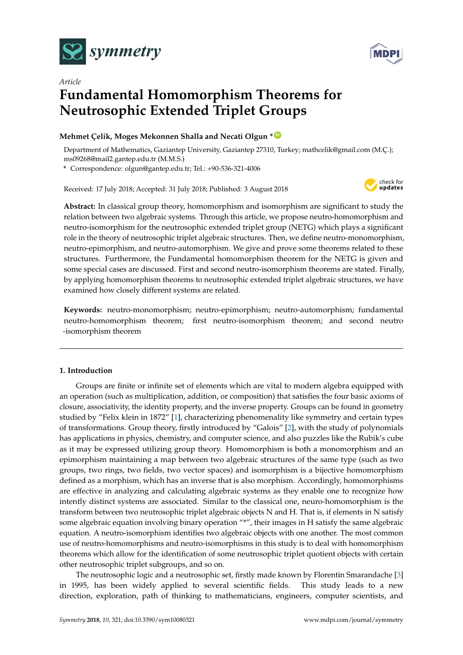



# *Article* **Fundamental Homomorphism Theorems for Neutrosophic Extended Triplet Groups**

# **Mehmet Çelik, Moges Mekonnen Shalla and Necati Olgun \* [ID](https://orcid.org/0000-0001-6683-126X)**

Department of Mathematics, Gaziantep University, Gaziantep 27310, Turkey; mathcelik@gmail.com (M.Ç.); ms09268@mail2.gantep.edu.tr (M.M.S.)

**\*** Correspondence: olgun@gantep.edu.tr; Tel.: +90-536-321-4006

Received: 17 July 2018; Accepted: 31 July 2018; Published: 3 August 2018



**Abstract:** In classical group theory, homomorphism and isomorphism are significant to study the relation between two algebraic systems. Through this article, we propose neutro-homomorphism and neutro-isomorphism for the neutrosophic extended triplet group (NETG) which plays a significant role in the theory of neutrosophic triplet algebraic structures. Then, we define neutro-monomorphism, neutro-epimorphism, and neutro-automorphism. We give and prove some theorems related to these structures. Furthermore, the Fundamental homomorphism theorem for the NETG is given and some special cases are discussed. First and second neutro-isomorphism theorems are stated. Finally, by applying homomorphism theorems to neutrosophic extended triplet algebraic structures, we have examined how closely different systems are related.

**Keywords:** neutro-monomorphism; neutro-epimorphism; neutro-automorphism; fundamental neutro-homomorphism theorem; first neutro-isomorphism theorem; and second neutro -isomorphism theorem

# **1. Introduction**

Groups are finite or infinite set of elements which are vital to modern algebra equipped with an operation (such as multiplication, addition, or composition) that satisfies the four basic axioms of closure, associativity, the identity property, and the inverse property. Groups can be found in geometry studied by "Felix klein in 1872" [\[1\]](#page-12-0), characterizing phenomenality like symmetry and certain types of transformations. Group theory, firstly introduced by "Galois" [\[2\]](#page-12-1), with the study of polynomials has applications in physics, chemistry, and computer science, and also puzzles like the Rubik's cube as it may be expressed utilizing group theory. Homomorphism is both a monomorphism and an epimorphism maintaining a map between two algebraic structures of the same type (such as two groups, two rings, two fields, two vector spaces) and isomorphism is a bijective homomorphism defined as a morphism, which has an inverse that is also morphism. Accordingly, homomorphisms are effective in analyzing and calculating algebraic systems as they enable one to recognize how intently distinct systems are associated. Similar to the classical one, neuro-homomorphism is the transform between two neutrosophic triplet algebraic objects N and H. That is, if elements in N satisfy some algebraic equation involving binary operation "\*", their images in H satisfy the same algebraic equation. A neutro-isomorphism identifies two algebraic objects with one another. The most common use of neutro-homomorphisms and neutro-isomorphisms in this study is to deal with homomorphism theorems which allow for the identification of some neutrosophic triplet quotient objects with certain other neutrosophic triplet subgroups, and so on.

The neutrosophic logic and a neutrosophic set, firstly made known by Florentin Smarandache [\[3\]](#page-12-2) in 1995, has been widely applied to several scientific fields. This study leads to a new direction, exploration, path of thinking to mathematicians, engineers, computer scientists, and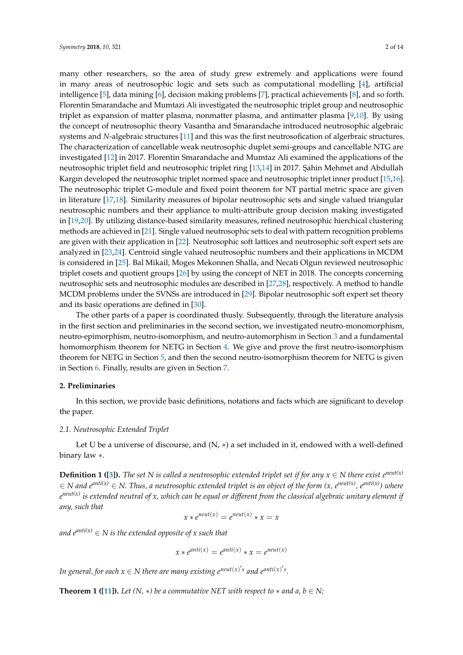many other researchers, so the area of study grew extremely and applications were found in many areas of neutrosophic logic and sets such as computational modelling [\[4\]](#page-12-3), artificial intelligence [\[5\]](#page-12-4), data mining [\[6\]](#page-12-5), decision making problems [\[7\]](#page-12-6), practical achievements [\[8\]](#page-12-7), and so forth. Florentin Smarandache and Mumtazi Ali investigated the neutrosophic triplet group and neutrosophic triplet as expansion of matter plasma, nonmatter plasma, and antimatter plasma [\[9,](#page-12-8)[10\]](#page-12-9). By using the concept of neutrosophic theory Vasantha and Smarandache introduced neutrosophic algebraic systems and *N*-algebraic structures [\[11\]](#page-12-10) and this was the first neutrosofication of algerbraic structures. The characterization of cancellable weak neutrosophic duplet semi-groups and cancellable NTG are investigated [\[12\]](#page-12-11) in 2017. Florentin Smarandache and Mumtaz Ali examined the applications of the neutrosophic triplet field and neutrosophic triplet ring [\[13,](#page-12-12)[14\]](#page-12-13) in 2017. Şahin Mehmet and Abdullah Kargın developed the neutrosophic triplet normed space and neutrosophic triplet inner product [\[15](#page-12-14)[,16\]](#page-12-15). The neutrosophic triplet G-module and fixed point theorem for NT partial metric space are given in literature [\[17,](#page-12-16)[18\]](#page-12-17). Similarity measures of bipolar neutrosophic sets and single valued triangular neutrosophic numbers and their appliance to multi-attribute group decision making investigated in [\[19,](#page-12-18)[20\]](#page-12-19). By utilizing distance-based similarity measures, refined neutrosophic hierchical clustering methods are achieved in [\[21\]](#page-12-20). Single valued neutrosophic sets to deal with pattern recognition problems are given with their application in [\[22\]](#page-12-21). Neutrosophic soft lattices and neutrosophic soft expert sets are analyzed in [\[23](#page-12-22)[,24\]](#page-12-23). Centroid single valued neutrosophic numbers and their applications in MCDM is considered in [\[25\]](#page-12-24). Bal Mikail, Moges Mekonnen Shalla, and Necati Olgun reviewed neutrosophic triplet cosets and quotient groups [\[26\]](#page-13-0) by using the concept of NET in 2018. The concepts concerning neutrosophic sets and neutrosophic modules are described in [\[27,](#page-13-1)[28\]](#page-13-2), respectively. A method to handle MCDM problems under the SVNSs are introduced in [\[29\]](#page-13-3). Bipolar neutrosophic soft expert set theory and its basic operations are defined in [\[30\]](#page-13-4).

The other parts of a paper is coordinated thusly. Subsequently, through the literature analysis in the first section and preliminaries in the second section, we investigated neutro-monomorphism, neutro-epimorphism, neutro-isomorphism, and neutro-automorphism in Section [3](#page-4-0) and a fundamental homomorphism theorem for NETG in Section [4.](#page-7-0) We give and prove the first neutro-isomorphism theorem for NETG in Section [5,](#page-9-0) and then the second neutro-isomorphism theorem for NETG is given in Section [6.](#page-10-0) Finally, results are given in Section [7.](#page-11-0)

## **2. Preliminaries**

In this section, we provide basic definitions, notations and facts which are significant to develop the paper.

# *2.1. Neutrosophic Extended Triplet*

Let U be a universe of discourse, and  $(N, *)$  a set included in it, endowed with a well-defined binary law ∗.

**Definition 1 ([\[3\]](#page-12-2)).** *The set N is called a neutrosophic extended triplet set if for any*  $x \in N$  *there exist*  $e^{neut(x)}$ ∈ *N and eanti(x)* ∈ *N. Thus, a neutrosophic extended triplet is an object of the form (x, eneut(x), eanti(x)) where e neut(x) is extended neutral of x, which can be equal or different from the classical algebraic unitary element if any, such that*

$$
x * e^{neut(x)} = e^{neut(x)} * x = x
$$

*and*  $e^{anti(x)} \in N$  *is the extended opposite of x such that* 

$$
x * e^{anti(x)} = e^{anti(x)} * x = e^{neut(x)}
$$

*In general, for each*  $x \in N$  there are many existing  $e^{neut(x)'s}$  and  $e^{anti(x)'s}$ .

**Theorem 1 ([\[11\]](#page-12-10)).** *Let*  $(N, *)$  *be a commutative NET with respect to*  $*$  *and*  $a, b \in N$ ;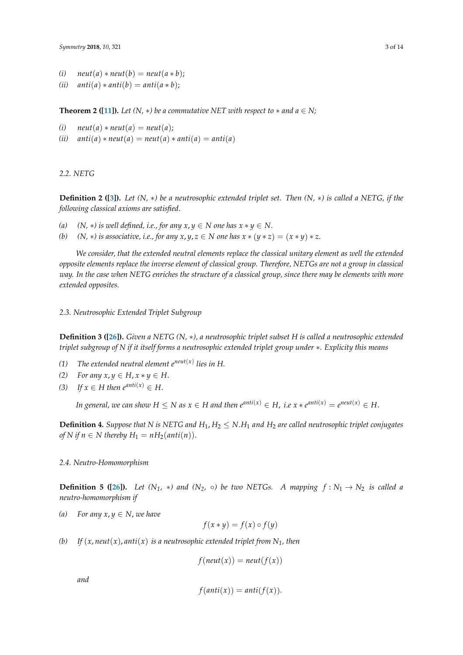- $(i)$  *neut* $(a) * \text{neut}(b) = \text{neut}(a * b);$
- $(iii)$  *anti* $(a) * anti(b) = anti(a * b);$

**Theorem 2 ([\[11\]](#page-12-10)).** *Let*  $(N, *)$  *be a commutative NET with respect to*  $*$  *and*  $a \in N$ ;

(i) 
$$
neut(a) * neut(a) = neut(a);
$$

 $(iii)$   $anti(a) * neut(a) = neut(a) * anti(a) = anti(a)$ 

# *2.2. NETG*

**Definition 2 ([\[3\]](#page-12-2)).** *Let (N,* ∗*) be a neutrosophic extended triplet set. Then (N,* ∗*) is called a NETG, if the following classical axioms are satisfied.*

- *(a)*  $(N, *)$  *is well defined, i.e., for any*  $x, y \in N$  *one has*  $x * y \in N$ *.*
- *(b)*  $(N, *)$  *is associative, i.e., for any*  $x, y, z \in N$  *one has*  $x * (y * z) = (x * y) * z$ *.*

*We consider, that the extended neutral elements replace the classical unitary element as well the extended opposite elements replace the inverse element of classical group. Therefore, NETGs are not a group in classical way. In the case when NETG enriches the structure of a classical group, since there may be elements with more extended opposites.*

*2.3. Neutrosophic Extended Triplet Subgroup*

**Definition 3 ([\[26\]](#page-13-0)).** *Given a NETG (N,* ∗*), a neutrosophic triplet subset H is called a neutrosophic extended triplet subgroup of N if it itself forms a neutrosophic extended triplet group under* ∗*. Explicity this means*

- *(1) The extended neutral element eneut*(*x*) *lies in H.*
- *(2) For any*  $x, y$  ∈ *H*,  $x * y$  ∈ *H*.
- *(3) If*  $x \in H$  *then*  $e^{anti(x)} \in H$ .

*In general, we can show*  $H \leq N$  *as*  $x \in H$  *and then*  $e^{anti(x)} \in H$ *, i.e*  $x * e^{anti(x)} = e^{neut(x)} \in H$ *.* 

**Definition 4.** *Suppose that* N is NETG and  $H_1$ ,  $H_2 \leq N.H_1$  and  $H_2$  are called neutrosophic triplet conjugates *of N* if  $n \in N$  thereby  $H_1 = nH_2(\text{anti}(n)).$ 

# *2.4. Neutro-Homomorphism*

**Definition 5 ([\[26\]](#page-13-0)).** *Let*  $(N_1, * )$  *and*  $(N_2, \circ)$  *be two NETGs. A mapping*  $f : N_1 \rightarrow N_2$  *is called a neutro-homomorphism if*

*(a) For any x, y*  $\in$  *N, we have* 

$$
f(x * y) = f(x) \circ f(y)
$$

*(b)* If  $(x, \text{neut}(x), \text{anti}(x))$  *is a neutrosophic extended triplet from*  $N_1$ *, then* 

 $f(new(x)) = neut(f(x))$ 

*and*

$$
f(\text{anti}(x)) = \text{anti}(f(x)).
$$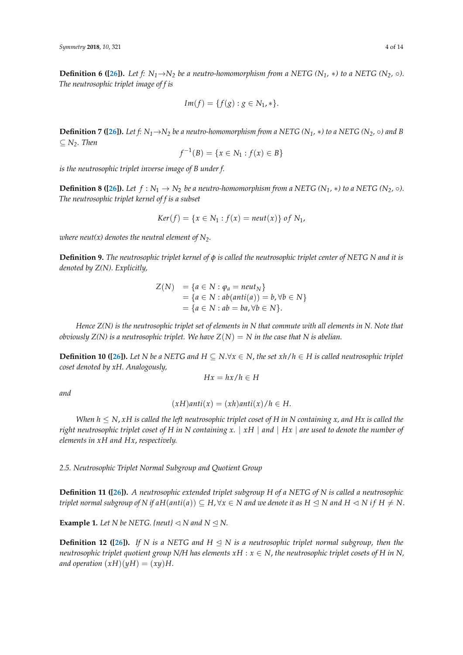**Definition 6 ([\[26\]](#page-13-0)).** Let  $f: N_1 \rightarrow N_2$  be a neutro-homomorphism from a NETG ( $N_1$ ,  $*$ ) to a NETG ( $N_2$ ,  $\circ$ ). *The neutrosophic triplet image of f is*

$$
Im(f) = \{f(g) : g \in N_1, *\}.
$$

**Definition 7 ([\[26\]](#page-13-0)).** Let f:  $N_1 \rightarrow N_2$  be a neutro-homomorphism from a NETG ( $N_1$ ,  $*$ ) to a NETG ( $N_2$ ,  $\circ$ ) and B ⊆ *N2. Then*

$$
f^{-1}(B) = \{x \in N_1 : f(x) \in B\}
$$

*is the neutrosophic triplet inverse image of B under f.*

**Definition 8 ([\[26\]](#page-13-0)).** Let  $f : N_1 \to N_2$  be a neutro-homomorphism from a NETG (N<sub>1</sub>,  $*$ ) to a NETG (N<sub>2</sub>,  $\circ$ ). *The neutrosophic triplet kernel of f is a subset*

$$
Ker(f) = \{x \in N_1 : f(x) = neut(x)\} \text{ of } N_1,
$$

*where neut(x) denotes the neutral element of*  $N_2$ *.* 

**Definition 9.** *The neutrosophic triplet kernel of φ is called the neutrosophic triplet center of NETG N and it is denoted by Z(N). Explicitly,*

$$
Z(N) = \{a \in N : \varphi_a = \text{neut}_N\}
$$
  
=  $\{a \in N : \text{ab}(\text{anti}(a)) = b, \forall b \in N\}$   
=  $\{a \in N : \text{ab} = \text{ba}, \forall b \in N\}.$ 

*Hence Z(N) is the neutrosophic triplet set of elements in N that commute with all elements in N. Note that obviously Z(N) is a neutrosophic triplet. We have Z(N) = N in the case that N is abelian.* 

**Definition 10 ([\[26\]](#page-13-0)).** *Let N be a NETG and*  $H ⊆ N.∀*x* ∈ N$ *, the set*  $xh/h ∈ H$  *is called neutrosophic triplet coset denoted by xH. Analogously,*

$$
Hx = hx/h \in H
$$

*and*

$$
(xH)anti(x) = (xh)anti(x)/h \in H.
$$

*When*  $h \leq N$ , *xH is called the left neutrosophic triplet coset of H in N containing x, and Hx is called the right neutrosophic triplet coset of H in N containing x.* | *xH* | *and* | *Hx* | *are used to denote the number of elements in xH and Hx*, *respectively.*

*2.5. Neutrosophic Triplet Normal Subgroup and Quotient Group*

**Definition 11 ([\[26\]](#page-13-0)).** *A neutrosophic extended triplet subgroup H of a NETG of N is called a neutrosophic triplet normal subgroup of N if*  $aH(anti(a)) \subseteq H$ *,*  $\forall x \in N$  *and we denote it as*  $H \leq N$  *and*  $H \leq N$  *if*  $H \neq N$ .

**Example 1.** Let N be NETG. {neut}  $\lhd$  N and N  $\leq$  N.

**Definition 12 ([\[26\]](#page-13-0)).** If N is a NETG and  $H \leq N$  is a neutrosophic triplet normal subgroup, then the *neutrosophic triplet quotient group N/H has elements*  $xH : x \in N$ , *the neutrosophic triplet cosets of H in N*, *and operation*  $(xH)(yH) = (xy)H$ .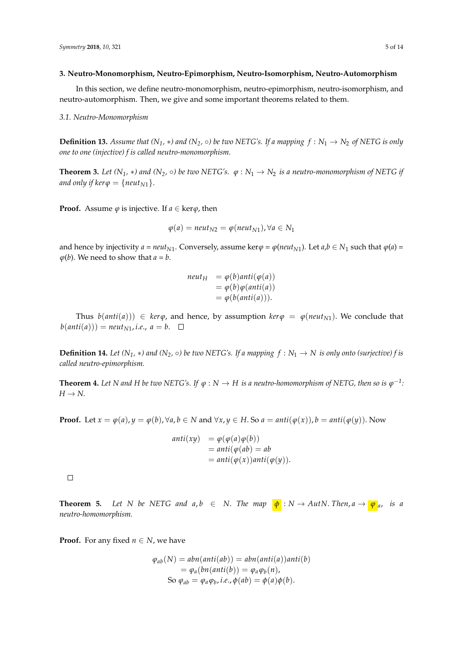#### <span id="page-4-0"></span>**3. Neutro-Monomorphism, Neutro-Epimorphism, Neutro-Isomorphism, Neutro-Automorphism**

In this section, we define neutro-monomorphism, neutro-epimorphism, neutro-isomorphism, and neutro-automorphism. Then, we give and some important theorems related to them.

#### *3.1. Neutro-Monomorphism*

**Definition 13.** Assume that  $(N_1, *)$  and  $(N_2, \circ)$  be two NETG's. If a mapping  $f : N_1 \to N_2$  of NETG is only *one to one (injective) f is called neutro-monomorphism.*

**Theorem 3.** *Let*  $(N_1, *)$  *and*  $(N_2, \circ)$  *be two NETG's.*  $\varphi : N_1 \to N_2$  *is a neutro-monomorphism of NETG if and only if ker* $\varphi = \{neut_{N1}\}.$ 

**Proof.** Assume  $\varphi$  is injective. If  $a \in \text{ker}\varphi$ , then

$$
\varphi(a) = \text{neut}_{N2} = \varphi(\text{neut}_{N1}), \forall a \in N_1
$$

and hence by injectivity  $a = neu t_{N1}$ . Conversely, assume ker $\varphi = \varphi (neut_{N1})$ . Let  $a, b \in N_1$  such that  $\varphi(a) =$  $\varphi(b)$ . We need to show that  $a = b$ .

> $neutr$  =  $\varphi(b)$ *anti*( $\varphi(a)$ )  $= \varphi(b)\varphi(\text{anti}(a))$  $= \varphi(b(anti(a))).$

Thus  $b(anti(a))) \in \text{ker}\varphi$ , and hence, by assumption  $\text{ker}\varphi = \varphi(n_{\text{cut}})$ . We conclude that  $b(anti(a))) = neutr_{N1}, i.e., a = b. \square$ 

**Definition 14.** Let  $(N_1, *)$  and  $(N_2, \circ)$  be two NETG's. If a mapping  $f : N_1 \to N$  is only onto (surjective) f is *called neutro-epimorphism.*

**Theorem 4.** Let N and H be two NETG's. If  $\varphi: N \to H$  is a neutro-homomorphism of NETG, then so is  $\varphi^{-1}$ :  $H \rightarrow N$ .

**Proof.** Let  $x = \varphi(a)$ ,  $y = \varphi(b)$ ,  $\forall a, b \in N$  and  $\forall x, y \in H$ . So  $a = anti(\varphi(x))$ ,  $b = anti(\varphi(y))$ . Now

$$
anti(xy) = \varphi(\varphi(a)\varphi(b))
$$
  
=  $anti(\varphi(ab) = ab$   
=  $anti(\varphi(x))anti(\varphi(y)).$ 

 $\Box$ 

**Theorem 5.** *Let N be NETG and*  $a, b \in N$ . *The map*  $\phi: N \to AutN$ . *Then, a*  $\rightarrow \phi$ <sub>*a,*</sub> *is a neutro-homomorphism.*

**Proof.** For any fixed  $n \in N$ , we have

$$
\varphi_{ab}(N) = abn(anti(ab)) = abn(anti(a))anti(b)
$$
  
=  $\varphi_a(bn(anti(b)) = \varphi_a\varphi_b(n),$   
So  $\varphi_{ab} = \varphi_a\varphi_b$ , i.e.,  $\varphi(ab) = \varphi(a)\varphi(b)$ .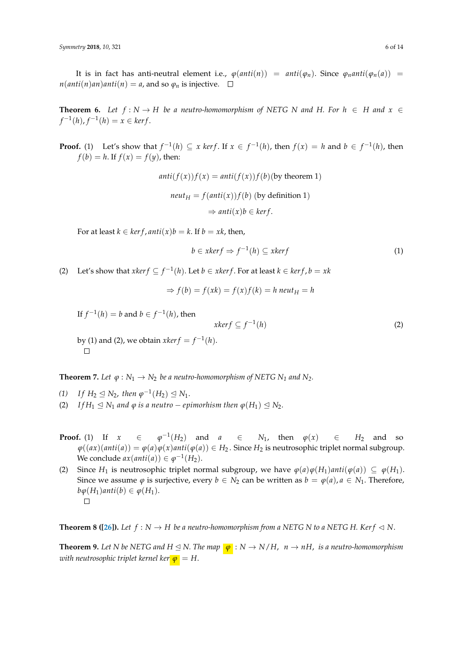It is in fact has anti-neutral element i.e.,  $\varphi(anti(n)) = anti(\varphi_n)$ . Since  $\varphi_nanti(\varphi_n(a)) =$  $n(anti(n)an)anti(n) = a$ , and so  $\varphi_n$  is injective.  $\square$ 

**Theorem 6.** *Let*  $f: N \to H$  *be a neutro-homomorphism of NETG N and H. For*  $h \in H$  *and*  $x \in H$  $f^{-1}(h)$ ,  $f^{-1}(h) = x \in \text{ker } f$ .

**Proof.** (1) Let's show that  $f^{-1}(h) \subseteq x$  kerf. If  $x \in f^{-1}(h)$ , then  $f(x) = h$  and  $b \in f^{-1}(h)$ , then  $f(b) = h$ . If  $f(x) = f(y)$ , then:

$$
anti(f(x))f(x) = anti(f(x))f(b)
$$
(by theorem 1)  

$$
neut_H = f(anti(x))f(b)
$$
 (by definition 1)  

$$
\Rightarrow anti(x)b \in ker f.
$$

For at least  $k \in \text{ker } f$ ,  $\text{anti}(x)b = k$ . If  $b = xk$ , then,

$$
b \in x \ker f \Rightarrow f^{-1}(h) \subseteq x \ker f \tag{1}
$$

(2) Let's show that *xker*  $f$  ⊆  $f^{-1}(h)$ . Let  $b$  ∈ *xkerf*. For at least  $k$  ∈ *kerf*,  $b = xk$ 

$$
\Rightarrow f(b) = f(xk) = f(x)f(k) = h \neq h
$$

If  $f^{-1}(h) = b$  and  $b \in f^{-1}(h)$ , then

$$
xker f \subseteq f^{-1}(h) \tag{2}
$$

by (1) and (2), we obtain  $x \text{ker} f = f^{-1}(h)$ .  $\Box$ 

**Theorem 7.** Let  $\varphi : N_1 \to N_2$  be a neutro-homomorphism of NETG  $N_1$  and  $N_2$ .

- *(1) If*  $H_2 \n≤ N_2$ , *then*  $\varphi^{-1}(H_2) \n≤ N_1$ .
- (2) *If*  $H_1 \leq N_1$  *and*  $\varphi$  *is a neutro* − *epimorhism then*  $\varphi(H_1) \leq N_2$ .
- **Proof.** (1) If  $x \in \mathbb{R}$  $^{-1}(H_2)$  and *a* ∈ *N*<sub>1</sub>, then  $\varphi(x)$  ∈ *H*<sub>2</sub> and so  $\varphi((ax)(anti(a)) = \varphi(a)\varphi(x)anti(\varphi(a)) \in H_2$ . Since  $H_2$  is neutrosophic triplet normal subgroup. We conclude  $ax(anti(a)) \in \varphi^{-1}(H_2)$ .
- (2) Since *H*<sub>1</sub> is neutrosophic triplet normal subgroup, we have  $\varphi(a)\varphi(H_1)$ *anti*( $\varphi(a)) \subseteq \varphi(H_1)$ . Since we assume  $\varphi$  is surjective, every  $b \in N_2$  can be written as  $b = \varphi(a)$ ,  $a \in N_1$ . Therefore,  $b\varphi(H_1)$ *anti* $(b) \in \varphi(H_1)$ .  $\Box$

**Theorem 8 ([\[26\]](#page-13-0)).** Let  $f : N \to H$  be a neutro-homomorphism from a NETG N to a NETG H. Kerf  $\lhd N$ .

**Theorem 9.** Let N be NETG and  $H \le N$ . The map  $\boxed{\varphi}$  :  $N \rightarrow N/H$ ,  $n \rightarrow nH$ , is a neutro-homomorphism *with neutrosophic triplet kernel ker*  $\varphi = H$ .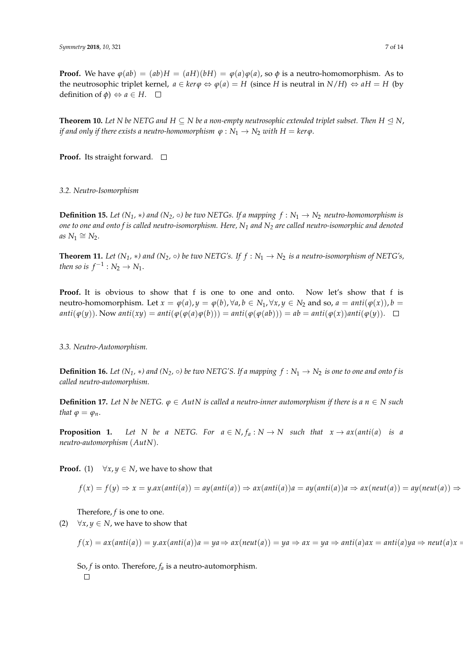**Proof.** We have  $\varphi(ab) = (ab)H = (aH)(bH) = \varphi(a)\varphi(a)$ , so  $\varphi$  is a neutro-homomorphism. As to the neutrosophic triplet kernel,  $a \in \text{ker} \varphi \Leftrightarrow \varphi(a) = H$  (since *H* is neutral in  $N/H$ )  $\Leftrightarrow aH = H$  (by definition of  $\phi$ )  $\Leftrightarrow$  *a*  $\in$  *H*.  $\square$ 

**Theorem 10.** Let N be NETG and  $H \subseteq N$  be a non-empty neutrosophic extended triplet subset. Then  $H \trianglelefteq N$ , *if and only if there exists a neutro-homomorphism*  $\varphi : N_1 \to N_2$  *with*  $H = \text{ker}\varphi$ .

**Proof.** Its straight forward. □

*3.2. Neutro-Isomorphism*

**Definition 15.** Let  $(N_1, *)$  and  $(N_2, \circ)$  be two NETGs. If a mapping  $f : N_1 \to N_2$  neutro-homomorphism is *one to one and onto f is called neutro-isomorphism. Here, N<sup>1</sup> and N<sup>2</sup> are called neutro-isomorphic and denoted*  $as N_1 \cong N_2$ .

**Theorem 11.** *Let*  $(N_1, *)$  *and*  $(N_2, \circ)$  *be two NETG's. If*  $f : N_1 \to N_2$  *is a neutro-isomorphism of NETG's, then so is*  $f^{-1}: N_2 \to N_1$ .

**Proof.** It is obvious to show that f is one to one and onto. Now let's show that f is neutro-homomorphism. Let  $x = \varphi(a)$ ,  $y = \varphi(b)$ ,  $\forall a, b \in N_1$ ,  $\forall x, y \in N_2$  and so,  $a = \text{anti}(\varphi(x))$ ,  $b =$  $anti(\varphi(y))$ . Now anti $(xy) = anti(\varphi(\varphi(a)\varphi(b))) = anti(\varphi(\varphi(ab))) = ab = anti(\varphi(x))anti(\varphi(y))$ .  $\Box$ 

*3.3. Neutro-Automorphism.*

**Definition 16.** Let  $(N_1, *)$  and  $(N_2, \circ)$  be two NETG'S. If a mapping  $f : N_1 \to N_2$  is one to one and onto f is *called neutro-automorphism.*

**Definition 17.** Let N be NETG.  $\varphi \in AutN$  is called a neutro-inner automorphism if there is a  $n \in N$  such *that*  $\varphi = \varphi_n$ *.* 

**Proposition 1.** *Let N be a NETG. For*  $a \in N$ ,  $f_a : N \to N$  *such that*  $x \to ax(anti(a))$  *is a neutro-automorphism* (*AutN*).

**Proof.** (1)  $\forall x, y \in N$ , we have to show that

$$
f(x) = f(y) \Rightarrow x = y.ax(\text{anti}(a)) = ay(\text{anti}(a)) \Rightarrow ax(\text{anti}(a))a = ay(\text{anti}(a))a \Rightarrow ax(\text{neut}(a)) = ay(\text{neut}(a)) \Rightarrow ax(\text{neut}(a)) = ay(\text{neut}(a)) \Rightarrow ax(\text{oneut}(a)) = ay(\text{neut}(a)) \Rightarrow ax(\text{oneut}(a)) = ay(\text{neut}(a)) \Rightarrow ax(\text{oneut}(a)) = ay(\text{neut}(a)) \Rightarrow ax(\text{oneut}(a)) = ay(\text{neut}(a)) \Rightarrow ax(\text{oneut}(a)) = ay(\text{neut}(a)) \Rightarrow ax(\text{oneut}(a)) = ay(\text{oneut}(a)) \Rightarrow ax(\text{oneut}(a)) = ay(\text{oneut}(a)) \Rightarrow ax(\text{oneut}(a)) = ay(\text{oneut}(a)) \Rightarrow ax(\text{oneut}(a)) = ay(\text{oneut}(a)) \Rightarrow ax(\text{oneut}(a)) = ay(\text{oneut}(a)) \Rightarrow ax(\text{oneut}(a)) = ay(\text{oneut}(a)) \Rightarrow ax(\text{oneut}(a)) = ay(\text{oneut}(a)) \Rightarrow ax(\text{oneut}(a)) = ay(\text{oneut}(a)) \Rightarrow ax(\text{oneut}(a)) = ay(\text{oneut}(a)) \Rightarrow ax(\text{oneut}(a)) = ay(\text{oneut}(a)) \Rightarrow ax(\text{oneut}(a)) = ay(\text{oneut}(a)) \Rightarrow ax(\text{oneut}(a)) = ay(\text{oneut}(a)) \Rightarrow ax(\text{oneut}(a)) = ay(\text{oneut}(a)) \Rightarrow ax(\text{oneut}(a)) = ay(\text{oneut}(a)) \Rightarrow ax(\text{oneut}(a)) = ay(\text{oneut}(a)) \Rightarrow ax(\text{oneut}(a)) = ay(\text{oneut}(a)) \Rightarrow ax(\text{oneut}(a)) = ay(\text{oneut}(a)) \Rightarrow ax(\text{oneut}(a)) = ay(\text{oneut}(a)) \Rightarrow ax(\text{oneut}(a)) = ay(\text{oneut}(a)) \Rightarrow ax(\text{oneut}(a)) = ay(\text{oneut}(a)) \Rightarrow ax(\text{oneut}(a)) = ay(\text{oneut}(a)) \Rightarrow ax(\text{oneut}(a)) = ay(\text{oneut}(a)) \Rightarrow ax(\text{oneut}(a)) = ay(\text{oneut}(a)) \Rightarrow ax(\text{oneut}(a)) = ay(\text{oneut}(a)) \Rightarrow ax(\text{oneut}(a)) = ay(\text{oneut}(a)) \Rightarrow ax(\text{oneut}(a)) = ay(\text{oneut}(a)) \Rightarrow ax(\text{oneut}(a)) = ay(\text{oneut}(
$$

Therefore, *f* is one to one.

(2)  $\forall x, y \in N$ , we have to show that

$$
f(x) = ax(anti(a)) = y.ax(anti(a))a = ya \Rightarrow ax(neut(a)) = ya \Rightarrow ax = ya \Rightarrow anti(a)ax = anti(a)ya \Rightarrow neutr(a)x =
$$

So, *f* is onto. Therefore, *f<sup>a</sup>* is a neutro-automorphism. $\Box$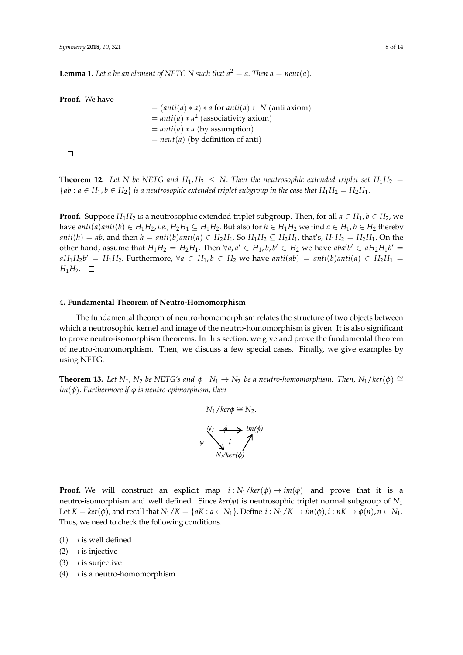**Lemma 1.** Let a be an element of NETG N such that  $a^2 = a$ . Then  $a = neutr(a)$ .

**Proof.** We have

= 
$$
(anti(a) * a) * a
$$
 for  $anti(a) \in N$  (anti axiom)  
=  $anti(a) * a^2$  (associativity axiom)  
=  $anti(a) * a$  (by assumption)  
=  $neut(a)$  (by definition of anti)

 $\Box$ 

**Theorem 12.** Let N be NETG and  $H_1, H_2 \leq N$ . Then the neutrosophic extended triplet set  $H_1H_2$  =  ${ab : a \in H_1, b \in H_2}$  *is a neutrosophic extended triplet subgroup in the case that*  $H_1H_2 = H_2H_1$ .

**Proof.** Suppose  $H_1H_2$  is a neutrosophic extended triplet subgroup. Then, for all  $a \in H_1$ ,  $b \in H_2$ , we have  $anti(a)anti(b) \in H_1H_2$ , *i.e.*,  $H_2H_1 \subseteq H_1H_2$ . But also for  $h \in H_1H_2$  we find  $a \in H_1$ ,  $b \in H_2$  thereby<br> $\overline{u}^{(1)}$ , and then  $h$   $\overline{u}^{(1)}$   $\overline{u}^{(1)}$   $\overline{u}^{(1)}$   $\overline{u}^{(1)}$   $\overline{u}^{(1)}$   $\overline{u}^{(1)}$   $\overline{u}$  $a$ *nti*(*h*) = *ab*, and then  $h = anti(b)$ *anti*(*a*)  $\in H_2H_1$ . So  $H_1H_2 \subseteq H_2H_1$ , that's,  $H_1H_2 = H_2H_1$ . On the other hand, assume that  $H_1H_2 = H_2H_1$ . Then  $\forall a, a' \in H_1, b, b' \in H_2$  we have  $aba'b' \in aH_2H_1b' = aH_2H_1b'$  $aH_1H_2b' = H_1H_2$ . Furthermore,  $\forall a \in H_1, b \in H_2$  we have  $anti(ab) = anti(b)anti(a) \in H_2H_1 =$  $H_1H_2$ .  $\Box$ 1 2 ∀∈ ∈ *aHbH* , we have ( ) () () 21 12 *anti ab anti b anti a H H H H* . = = ∈ □

# <span id="page-7-0"></span>**4. Fundamental Theorem of Neutro-Homomorphism 4. Fundamental Theorem of Neutro-Homomorphism**

The fundamental theorem of neutro-homomorphism relates the structure of two objects between The fundamental theorem of neutro-homomorphism relates the structure of two objects which a neutrosophic kernel and image of the neutro-homomorphism is given. It is also significant to prove neutro-isomorphism theorems. In this section, we give and prove the fundamental theorem of neutro-homomorphism. Then, we discuss a few special cases. Finally, we give examples by using NETG.

**Theorem 13.** Let  $N_1$ ,  $N_2$  be NETG's and  $\phi : N_1 \to N_2$  be a neutro-homomorphism. Then,  $N_1 / ker(\phi) \cong$ *im*(φ). Furthermore if φ is neutro-epimorphism, then  $\overline{\phi}$ 

$$
N_1 / ker\phi \cong N_2.
$$
\n
$$
\begin{array}{ccc}\n\sqrt{V_1} & \xleftarrow{\phi} & \text{im}(\phi) \\
\downarrow{\phi} & i & \nearrow \\
N_1 / ker(\phi) & \text{m}(\phi)\n\end{array}
$$

**Proof.** We will construct an explicit map  $i : N_1 / ker(\phi) \rightarrow im(\phi)$  and prove that it is a neutro-isomorphism and well defined. Since  $\text{ker}(\varphi)$  is neutrosophic triplet normal subgroup of  $N_1$ . Thus, we need to check the following conditions. Let  $K = \text{ker}(\phi)$ , and recall that  $N_1/K = \{aK : a \in N_1\}$ . Define  $i : N_1/K \to \text{im}(\phi)$ ,  $i : nK \to \phi(n)$ ,  $n \in N_1$ .

- (1) *i* is well defined (1) *i* is well defined
- (2) *i* is injective (2) *i* is injective
- (3) *i* is surjective (3) *i* is surjective
- (4) *i* is a neutro-homomorphism (4) *i* is a neutro-homomorphism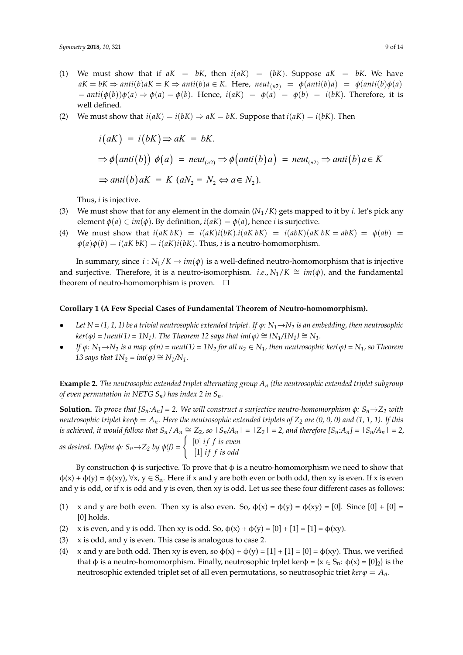- (1) We must show that if  $aK = bK$ , then  $i(aK) = (bK)$ . Suppose  $aK = bK$ . We have  $aK = bK \Rightarrow anti(b)aK = K \Rightarrow anti(b)a \in K$ . Here,  $neut_{(n2)} = \phi(anti(b)a) = \phi(anti(b)\phi(a))$  $u(x - \theta)(\theta) = \theta(x)$  and  $u(x) = \theta(x)$  and  $u(x) = \theta(x) = \theta(x)$  and  $u(x) = \theta(x) = \theta(x)$ . Therefore, it is well defined.
- (2) We must show that  $i(aK) = i(bK) \Rightarrow aK = bK$ . Suppose that  $i(aK) = i(bK)$ . Then

$$
i(aK) = i(bK) \Rightarrow aK = bK.
$$
  
\n
$$
\Rightarrow \phi\big(\text{anti}(b)\big) \phi(a) = \text{neut}_{(n2)} \Rightarrow \phi\big(\text{anti}(b)a\big) = \text{neut}_{(n2)} \Rightarrow \text{anti}(b)a \in K
$$
  
\n
$$
\Rightarrow \text{anti}(b)aK = K \ (aN_2 = N_2 \Leftrightarrow a \in N_2).
$$

Thus, *i* is injective. Thus, *i* is injective.

- (3) We must show that for any element in the domain  $(N_1/K)$  gets mapped to it by *i*. let's pick any element  $\phi(a) \in im(\phi)$ . By definition,  $i(aK) = \phi(a)$ , hence *i* is surjective.
- (4) We must show that  $i(aK bK) = i(aK)i(bK)$ . $i(aK bK) = i(abK)(aK bK = abK) = \phi(ab)$  $\varphi$ (*a*) $\varphi$ (*b*) = *i*(*aK*)*k*) = *i*(*aK*)*i*(*bK*). Thus, *i* is a neutro-homomorphism.

In summary, since  $i : N_1/K \to im(\phi)$  is a well-defined neutro-homomorphism that is injective and surjective. Therefore, it is a neutro-isomorphism. *i.e.*,  $N_1/K \cong im(\phi)$ , and the fundamental theorem of neutro-homomorphism is proven.  $\square$ 

#### **Corollary 1 (A Few Special Cases of Fundamental Theorem of Neutro-homomorphism).**

- *Let N = (1, 1, 1) be a trivial neutrosophic extended triplet. If ϕ: N1*→*N<sup>2</sup> is an embedding, then neutrosophic*  $\ker(\varphi) = \{ne11\}$  =  $1N_1$ *}. The Theorem 12 says that*  $\text{im}(\varphi) \cong \{N_1/1N_1\} \cong N_1$ *.*
- If  $\varphi: N_1 \rightarrow N_2$  is a map  $\varphi(n) = neutr(1) = 1N_2$  for all  $n_2 \in N_1$ , then neutrosophic ker( $\varphi$ ) =  $N_1$ , so Theorem *13 says that*  $1N_2 = im(φ) ≅ N_1/N_1$ *.*

**Example 2.** *The neutrosophic extended triplet alternating group A<sup>n</sup> (the neutrosophic extended triplet subgroup of even permutation in NETG Sn) has index 2 in Sn.*

**Solution.** To prove that  $[S_n:A_n]=2$ . We will construct a surjective neutro-homomorphism  $\phi: S_n \to Z_2$  with *neutrosophic triplet kerφ* = *An. Here the neutrosophic extended triplets of Z<sup>2</sup> are (0, 0, 0) and (1, 1, 1). If this* is achieved, it would follow that  $S_n/A_n \cong Z_2$ , so  $|S_n/A_n| = |Z_2| = 2$ , and therefore  $[S_n:A_n] = |S_n/A_n| = 2$ ,

*as desired. Define*  $\phi$ *:*  $S_n \rightarrow Z_2$  *by*  $\phi(f) = \begin{cases} [0] \text{ if } f \text{ is even} \\ [1] \text{ if } f \text{ is odd} \end{cases}$  $[1]$  *if f is odd* 

By construction  $\phi$  is surjective. To prove that  $\phi$  is a neutro-homomorphism we need to show that  $\phi(x) + \phi(y) = \phi(xy)$ ,  $\forall x, y \in S_n$ . Here if x and y are both even or both odd, then xy is even. If x is even and y is odd, or if x is odd and y is even, then xy is odd. Let us see these four different cases as follows:

- (1) x and y are both even. Then xy is also even. So,  $\phi(x) = \phi(y) = \phi(xy) = [0]$ . Since  $[0] + [0] =$ [0] holds.
- (2) x is even, and y is odd. Then xy is odd. So,  $\phi(x) + \phi(y) = [0] + [1] = [1] = \phi(xy)$ .
- (3) x is odd, and y is even. This case is analogous to case 2.
- (4) x and y are both odd. Then xy is even, so  $\phi(x) + \phi(y) = [1] + [1] = [0] = \phi(xy)$ . Thus, we verified that φ is a neutro-homomorphism. Finally, neutrosophic trplet kerφ = { $x \in S_n$ :  $φ(x) = [0]_2$ } is the neutrosophic extended triplet set of all even permutations, so neutrosophic triet  $\ker \varphi = A_n$ .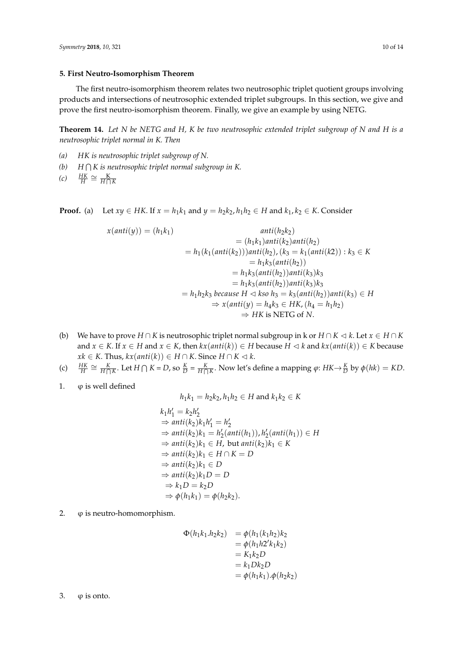# <span id="page-9-0"></span>**5. First Neutro-Isomorphism Theorem**

The first neutro-isomorphism theorem relates two neutrosophic triplet quotient groups involving products and intersections of neutrosophic extended triplet subgroups. In this section, we give and prove the first neutro-isomorphism theorem. Finally, we give an example by using NETG.

**Theorem 14.** *Let N be NETG and H, K be two neutrosophic extended triplet subgroup of N and H is a neutrosophic triplet normal in K. Then*

- *(a) HK is neutrosophic triplet subgroup of N.*
- *(b) H* T *K is neutrosophic triplet normal subgroup in K.*

$$
(c) \quad \frac{HK}{H} \cong \frac{K}{H \cap K}
$$

**Proof.** (a) Let  $xy \in HK$ . If  $x = h_1k_1$  and  $y = h_2k_2$ ,  $h_1h_2 \in H$  and  $k_1, k_2 \in K$ . Consider

$$
x(anti(y)) = (h_1k_1)
$$
  
\n
$$
= h_1(k_1(anti(k_2)))anti(h_2),
$$
  
\n
$$
= h_1(k_1(anti(k_2)))anti(h_2), (k_3 = k_1(anti(k_2)) : k_3 \in K
$$
  
\n
$$
= h_1k_3(anti(h_2))
$$
  
\n
$$
= h_1k_3(anti(h_2))anti(k_3)k_3
$$
  
\n
$$
= h_1k_3(anti(h_2))anti(k_3)k_3
$$
  
\n
$$
= h_1h_2k_3 because H \triangleleft kso h_3 = k_3(anti(h_2))anti(k_3) \in H
$$
  
\n
$$
\Rightarrow x(anti(y) = h_4k_3 \in HK, (h_4 = h_1h_2)
$$
  
\n
$$
\Rightarrow HK \text{ is NETG of } N.
$$

- (b) We have to prove  $H \cap K$  is neutrosophic triplet normal subgroup in k or  $H \cap K \lhd k$ . Let  $x \in H \cap K$ and  $x \in K$ . If  $x \in H$  and  $x \in K$ , then  $kx(anti(k)) \in H$  because  $H \lhd k$  and  $kx(anti(k)) \in K$  because *xk* ∈ *K*. Thus,  $kx(anti(k)) \in H \cap K$ . Since  $H \cap K \lhd k$ .
- (c)  $\frac{HK}{H} \cong \frac{K}{H\cap K}$ . Let  $H \cap K = D$ , so  $\frac{K}{D} = \frac{K}{H\cap K}$ . Now let's define a mapping  $\varphi: HK \to \frac{K}{D}$  by  $\varphi(hk) = KD$ .
- 1.  $\varphi$  is well defined

$$
h_1k_1 = h_2k_2, h_1h_2 \in H
$$
 and  $k_1k_2 \in K$ 

$$
k_1h'_1 = k_2h'_2
$$
  
\n
$$
\Rightarrow anti(k_2)k_1h'_1 = h'_2
$$
  
\n
$$
\Rightarrow anti(k_2)k_1 = h'_2(anti(h_1)), h'_2(anti(h_1)) \in H
$$
  
\n
$$
\Rightarrow anti(k_2)k_1 \in H, but anti(k_2)k_1 \in K
$$
  
\n
$$
\Rightarrow anti(k_2)k_1 \in H \cap K = D
$$
  
\n
$$
\Rightarrow anti(k_2)k_1 \in D
$$
  
\n
$$
\Rightarrow anti(k_2)k_1D = D
$$
  
\n
$$
\Rightarrow k_1D = k_2D
$$
  
\n
$$
\Rightarrow \phi(h_1k_1) = \phi(h_2k_2).
$$

2.  $\varphi$  is neutro-homomorphism.

$$
\Phi(h_1k_1.h_2k_2) = \phi(h_1(k_1h_2)k_2
$$
  
=  $\phi(h_1h2'k_1k_2)$   
=  $K_1k_2D$   
=  $k_1Dk_2D$   
=  $\phi(h_1k_1).\phi(h_2k_2)$ 

3.  $\varphi$  is onto.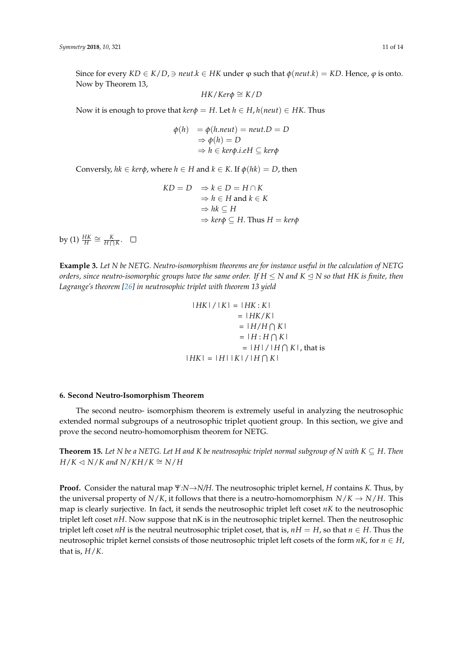Since for every  $KD \in K/D$ ,  $\ni$  *neut*. $k \in HK$  under  $\varphi$  such that  $\varphi$ (*neut*.*k*) =  $KD$ . Hence,  $\varphi$  is onto. Now by Theorem 13,

$$
HK/Ker\phi \cong K/D
$$

Now it is enough to prove that  $\text{ker}\varphi = H$ . Let  $h \in H$ ,  $h(\text{neut}) \in HK$ . Thus

$$
\begin{array}{ll} \phi(h) & = \phi(h.next) = \textit{neut.D} = D \\ & \Rightarrow \phi(h) = D \\ & \Rightarrow h \in \textit{ker}\phi.i.eH \subseteq \textit{ker}\phi \end{array}
$$

Conversly,  $hk \in \text{ker}\phi$ , where  $h \in H$  and  $k \in K$ . If  $\phi(hk) = D$ , then

$$
KD = D \Rightarrow k \in D = H \cap K
$$
  
\n
$$
\Rightarrow h \in H \text{ and } k \in K
$$
  
\n
$$
\Rightarrow hk \subseteq H
$$
  
\n
$$
\Rightarrow ker\phi \subseteq H. \text{ Thus } H = ker\phi
$$

by (1)  $\frac{HK}{H} \cong \frac{K}{H\bigcap K}$ .

**Example 3.** *Let N be NETG. Neutro-isomorphism theorems are for instance useful in the calculation of NETG orders, since neutro-isomorphic groups have the same order. If H ≤ N and K ⊴ N so that HK is finite, then*<br>-*Lagrange's theorem [\[26\]](#page-13-0) in neutrosophic triplet with theorem 13 yield*

$$
|HK| / |K| = |HK:K|
$$
  
\n
$$
= |HK/K|
$$
  
\n
$$
= |H/H \cap K|
$$
  
\n
$$
= |H| \cdot H \cap K|
$$
  
\n
$$
= |H| / |H \cap K|
$$
, that is  
\n
$$
|HK| = |H| |K| / |H \cap K|
$$

## <span id="page-10-0"></span>**6. Second Neutro-Isomorphism Theorem**

The second neutro- isomorphism theorem is extremely useful in analyzing the neutrosophic extended normal subgroups of a neutrosophic triplet quotient group. In this section, we give and prove the second neutro-homomorphism theorem for NETG.

**Theorem 15.** Let N be a NETG. Let H and K be neutrosophic triplet normal subgroup of N with  $K \subseteq H$ . Then  $H/K ⊂ N/K$  and  $N/KH/K ≅ N/H$ 

**Proof.** Consider the natural map *Ψ:N*→*N/H*. The neutrosophic triplet kernel, *H* contains *K.* Thus, by the universal property of *N/K*, it follows that there is a neutro-homomorphism  $N/K \rightarrow N/H$ . This map is clearly surjective. In fact, it sends the neutrosophic triplet left coset *nK* to the neutrosophic triplet left coset *nH*. Now suppose that nK is in the neutrosophic triplet kernel. Then the neutrosophic triplet left coset *nH* is the neutral neutrosophic triplet coset, that is,  $nH = H$ , so that  $n \in H$ . Thus the neutrosophic triplet kernel consists of those neutrosophic triplet left cosets of the form  $nK$ , for  $n \in H$ , that is, *H*/*K*.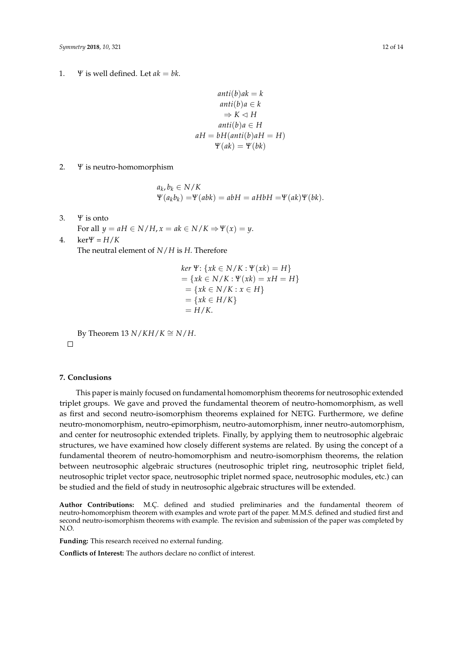1. *Ψ* is well defined. Let  $ak = bk$ .

$$
anti(b)ak = k
$$
  
\n
$$
anti(b)a \in k
$$
  
\n
$$
\Rightarrow K \triangleleft H
$$
  
\n
$$
anti(b)a \in H
$$
  
\n
$$
aH = bH(anti(b)aH = H)
$$
  
\n
$$
\Psi(ak) = \Psi(bk)
$$

2. *Ψ* is neutro-homomorphism

$$
a_k, b_k \in N/K
$$
  
\n $\Psi(a_k b_k) = \Psi(abk) = abH = aHbH = \Psi(ak)\Psi(bk).$ 

- 3. *Ψ* is onto
- For all  $y = aH \in N/H$ ,  $x = ak \in N/K \Rightarrow \Psi(x) = y$ . 4.  $\ker \Psi = H/K$

The neutral element of *N*/*H* is *H*. Therefore

$$
ker \Psi: \{xk \in N/K : \Psi(xk) = H\}
$$
  
= 
$$
\{xk \in N/K : \Psi(xk) = xH = H\}
$$
  
= 
$$
\{xk \in N/K : x \in H\}
$$
  
= 
$$
\{xk \in H/K\}
$$
  
= 
$$
H/K.
$$

By Theorem 13  $N/KH/K \cong N/H$ .

# <span id="page-11-0"></span>**7. Conclusions**

 $\Box$ 

This paper is mainly focused on fundamental homomorphism theorems for neutrosophic extended triplet groups. We gave and proved the fundamental theorem of neutro-homomorphism, as well as first and second neutro-isomorphism theorems explained for NETG. Furthermore, we define neutro-monomorphism, neutro-epimorphism, neutro-automorphism, inner neutro-automorphism, and center for neutrosophic extended triplets. Finally, by applying them to neutrosophic algebraic structures, we have examined how closely different systems are related. By using the concept of a fundamental theorem of neutro-homomorphism and neutro-isomorphism theorems, the relation between neutrosophic algebraic structures (neutrosophic triplet ring, neutrosophic triplet field, neutrosophic triplet vector space, neutrosophic triplet normed space, neutrosophic modules, etc.) can be studied and the field of study in neutrosophic algebraic structures will be extended.

**Author Contributions:** M.Ç. defined and studied preliminaries and the fundamental theorem of neutro-homomorphism theorem with examples and wrote part of the paper. M.M.S. defined and studied first and second neutro-isomorphism theorems with example. The revision and submission of the paper was completed by N.O.

**Funding:** This research received no external funding.

**Conflicts of Interest:** The authors declare no conflict of interest.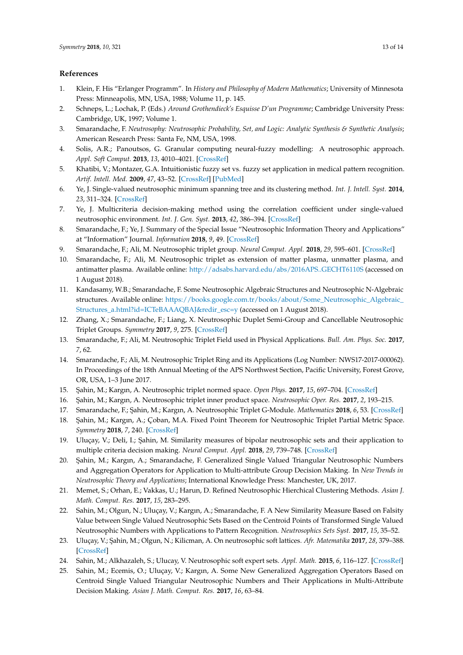### **References**

- <span id="page-12-0"></span>1. Klein, F. His "Erlanger Programm". In *History and Philosophy of Modern Mathematics*; University of Minnesota Press: Minneapolis, MN, USA, 1988; Volume 11, p. 145.
- <span id="page-12-1"></span>2. Schneps, L.; Lochak, P. (Eds.) *Around Grothendieck's Esquisse D'un Programme*; Cambridge University Press: Cambridge, UK, 1997; Volume 1.
- <span id="page-12-2"></span>3. Smarandache, F. *Neutrosophy: Neutrosophic Probability, Set, and Logic: Analytic Synthesis & Synthetic Analysis*; American Research Press: Santa Fe, NM, USA, 1998.
- <span id="page-12-3"></span>4. Solis, A.R.; Panoutsos, G. Granular computing neural-fuzzy modelling: A neutrosophic approach. *Appl. Soft Comput.* **2013**, *13*, 4010–4021. [\[CrossRef\]](http://dx.doi.org/10.1016/j.asoc.2012.09.002)
- <span id="page-12-4"></span>5. Khatibi, V.; Montazer, G.A. Intuitionistic fuzzy set vs. fuzzy set application in medical pattern recognition. *Artif. Intell. Med.* **2009**, *47*, 43–52. [\[CrossRef\]](http://dx.doi.org/10.1016/j.artmed.2009.03.002) [\[PubMed\]](http://www.ncbi.nlm.nih.gov/pubmed/19375899)
- <span id="page-12-5"></span>6. Ye, J. Single-valued neutrosophic minimum spanning tree and its clustering method. *Int. J. Intell. Syst.* **2014**, *23*, 311–324. [\[CrossRef\]](http://dx.doi.org/10.1515/jisys-2013-0075)
- <span id="page-12-6"></span>7. Ye, J. Multicriteria decision-making method using the correlation coefficient under single-valued neutrosophic environment. *Int. J. Gen. Syst.* **2013**, *42*, 386–394. [\[CrossRef\]](http://dx.doi.org/10.1080/03081079.2012.761609)
- <span id="page-12-7"></span>8. Smarandache, F.; Ye, J. Summary of the Special Issue "Neutrosophic Information Theory and Applications" at "Information" Journal. *Information* **2018**, *9*, 49. [\[CrossRef\]](http://dx.doi.org/10.3390/info9030049)
- <span id="page-12-8"></span>9. Smarandache, F.; Ali, M. Neutrosophic triplet group. *Neural Comput. Appl.* **2018**, *29*, 595–601. [\[CrossRef\]](http://dx.doi.org/10.1007/s00521-016-2535-x)
- <span id="page-12-9"></span>10. Smarandache, F.; Ali, M. Neutrosophic triplet as extension of matter plasma, unmatter plasma, and antimatter plasma. Available online: <http://adsabs.harvard.edu/abs/2016APS..GECHT6110S> (accessed on 1 August 2018).
- <span id="page-12-10"></span>11. Kandasamy, W.B.; Smarandache, F. Some Neutrosophic Algebraic Structures and Neutrosophic N-Algebraic structures. Available online: [https://books.google.com.tr/books/about/Some\\_Neutrosophic\\_Algebraic\\_](https://books.google.com.tr/books/about/Some_Neutrosophic_Algebraic_Structures_a.html?id=ICTeBAAAQBAJ&redir_esc=y) [Structures\\_a.html?id=ICTeBAAAQBAJ&redir\\_esc=y](https://books.google.com.tr/books/about/Some_Neutrosophic_Algebraic_Structures_a.html?id=ICTeBAAAQBAJ&redir_esc=y) (accessed on 1 August 2018).
- <span id="page-12-11"></span>12. Zhang, X.; Smarandache, F.; Liang, X. Neutrosophic Duplet Semi-Group and Cancellable Neutrosophic Triplet Groups. *Symmetry* **2017**, *9*, 275. [\[CrossRef\]](http://dx.doi.org/10.3390/sym9110275)
- <span id="page-12-12"></span>13. Smarandache, F.; Ali, M. Neutrosophic Triplet Field used in Physical Applications. *Bull. Am. Phys. Soc.* **2017**, *7*, 62.
- <span id="page-12-13"></span>14. Smarandache, F.; Ali, M. Neutrosophic Triplet Ring and its Applications (Log Number: NWS17-2017-000062). In Proceedings of the 18th Annual Meeting of the APS Northwest Section, Pacific University, Forest Grove, OR, USA, 1–3 June 2017.
- <span id="page-12-15"></span><span id="page-12-14"></span>15. ¸Sahin, M.; Kargın, A. Neutrosophic triplet normed space. *Open Phys.* **2017**, *15*, 697–704. [\[CrossRef\]](http://dx.doi.org/10.1515/phys-2017-0082)
- 16. ¸Sahin, M.; Kargın, A. Neutrosophic triplet inner product space. *Neutrosophic Oper. Res.* **2017**, *2*, 193–215.
- <span id="page-12-16"></span>17. Smarandache, F.; ¸Sahin, M.; Kargın, A. Neutrosophic Triplet G-Module. *Mathematics* **2018**, *6*, 53. [\[CrossRef\]](http://dx.doi.org/10.3390/math6040053)
- <span id="page-12-17"></span>18. Şahin, M.; Kargın, A.; Çoban, M.A. Fixed Point Theorem for Neutrosophic Triplet Partial Metric Space. *Symmetry* **2018**, *7*, 240. [\[CrossRef\]](http://dx.doi.org/10.3390/sym10070240)
- <span id="page-12-18"></span>19. Uluçay, V.; Deli, I.; ¸Sahin, M. Similarity measures of bipolar neutrosophic sets and their application to multiple criteria decision making. *Neural Comput. Appl.* **2018**, *29*, 739–748. [\[CrossRef\]](http://dx.doi.org/10.1007/s00521-016-2479-1)
- <span id="page-12-19"></span>20. Şahin, M.; Kargın, A.; Smarandache, F. Generalized Single Valued Triangular Neutrosophic Numbers and Aggregation Operators for Application to Multi-attribute Group Decision Making. In *New Trends in Neutrosophic Theory and Applications*; International Knowledge Press: Manchester, UK, 2017.
- <span id="page-12-20"></span>21. Memet, S.; Orhan, E.; Vakkas, U.; Harun, D. Refined Neutrosophic Hierchical Clustering Methods. *Asian J. Math. Comput. Res.* **2017**, *15*, 283–295.
- <span id="page-12-21"></span>22. Sahin, M.; Olgun, N.; Uluçay, V.; Kargın, A.; Smarandache, F. A New Similarity Measure Based on Falsity Value between Single Valued Neutrosophic Sets Based on the Centroid Points of Transformed Single Valued Neutrosophic Numbers with Applications to Pattern Recognition. *Neutrosophics Sets Syst.* **2017**, *15*, 35–52.
- <span id="page-12-22"></span>23. Uluçay, V.; ¸Sahin, M.; Olgun, N.; Kilicman, A. On neutrosophic soft lattices. *Afr. Matematika* **2017**, *28*, 379–388. [\[CrossRef\]](http://dx.doi.org/10.1007/s13370-016-0447-7)
- <span id="page-12-23"></span>24. Sahin, M.; Alkhazaleh, S.; Ulucay, V. Neutrosophic soft expert sets. *Appl. Math.* **2015**, *6*, 116–127. [\[CrossRef\]](http://dx.doi.org/10.4236/am.2015.61012)
- <span id="page-12-24"></span>25. Sahin, M.; Ecemis, O.; Uluçay, V.; Kargın, A. Some New Generalized Aggregation Operators Based on Centroid Single Valued Triangular Neutrosophic Numbers and Their Applications in Multi-Attribute Decision Making. *Asian J. Math. Comput. Res.* **2017**, *16*, 63–84.